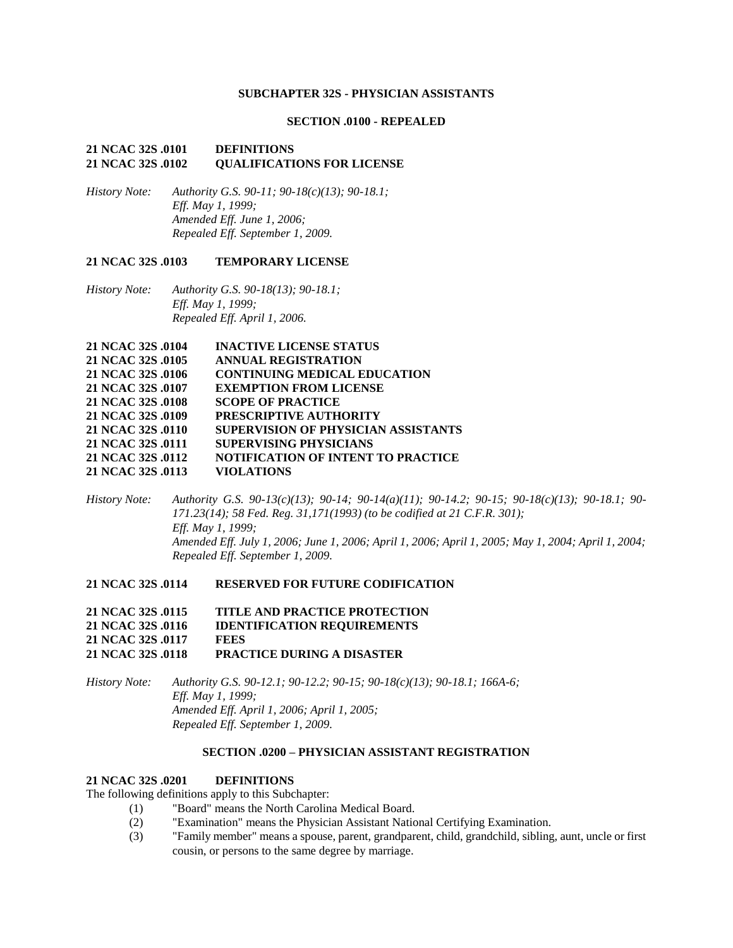### **SUBCHAPTER 32S - PHYSICIAN ASSISTANTS**

### **SECTION .0100 - REPEALED**

### **21 NCAC 32S .0101 DEFINITIONS 21 NCAC 32S .0102 QUALIFICATIONS FOR LICENSE**

*History Note: Authority G.S. 90-11; 90-18(c)(13); 90-18.1; Eff. May 1, 1999; Amended Eff. June 1, 2006; Repealed Eff. September 1, 2009.*

#### **21 NCAC 32S .0103 TEMPORARY LICENSE**

*History Note: Authority G.S. 90-18(13); 90-18.1; Eff. May 1, 1999; Repealed Eff. April 1, 2006.*

| 21 NCAC 32S .0104 | <b>INACTIVE LICENSE STATUS</b>             |
|-------------------|--------------------------------------------|
| 21 NCAC 32S .0105 | <b>ANNUAL REGISTRATION</b>                 |
| 21 NCAC 32S .0106 | <b>CONTINUING MEDICAL EDUCATION</b>        |
| 21 NCAC 32S .0107 | <b>EXEMPTION FROM LICENSE</b>              |
| 21 NCAC 32S .0108 | <b>SCOPE OF PRACTICE</b>                   |
| 21 NCAC 32S .0109 | <b>PRESCRIPTIVE AUTHORITY</b>              |
| 21 NCAC 32S .0110 | <b>SUPERVISION OF PHYSICIAN ASSISTANTS</b> |
| 21 NCAC 32S .0111 | <b>SUPERVISING PHYSICIANS</b>              |
| 21 NCAC 32S .0112 | <b>NOTIFICATION OF INTENT TO PRACTICE</b>  |
| 21 NCAC 32S .0113 | <b>VIOLATIONS</b>                          |
|                   |                                            |

*History Note: Authority G.S. 90-13(c)(13); 90-14; 90-14(a)(11); 90-14.2; 90-15; 90-18(c)(13); 90-18.1; 90- 171.23(14); 58 Fed. Reg. 31,171(1993) (to be codified at 21 C.F.R. 301); Eff. May 1, 1999; Amended Eff. July 1, 2006; June 1, 2006; April 1, 2006; April 1, 2005; May 1, 2004; April 1, 2004; Repealed Eff. September 1, 2009.*

#### **21 NCAC 32S .0114 RESERVED FOR FUTURE CODIFICATION**

| 21 NCAC 32S .0115 | <b>TITLE AND PRACTICE PROTECTION</b> |
|-------------------|--------------------------------------|
| 21 NCAC 32S .0116 | <b>IDENTIFICATION REQUIREMENTS</b>   |
| 21 NCAC 32S .0117 | <b>FEES</b>                          |
| 21 NCAC 32S .0118 | <b>PRACTICE DURING A DISASTER</b>    |

*History Note: Authority G.S. 90-12.1; 90-12.2; 90-15; 90-18(c)(13); 90-18.1; 166A-6; Eff. May 1, 1999; Amended Eff. April 1, 2006; April 1, 2005; Repealed Eff. September 1, 2009.*

### **SECTION .0200 – PHYSICIAN ASSISTANT REGISTRATION**

#### **21 NCAC 32S .0201 DEFINITIONS**

The following definitions apply to this Subchapter:

- (1) "Board" means the North Carolina Medical Board.
- (2) "Examination" means the Physician Assistant National Certifying Examination.
- (3) "Family member" means a spouse, parent, grandparent, child, grandchild, sibling, aunt, uncle or first cousin, or persons to the same degree by marriage.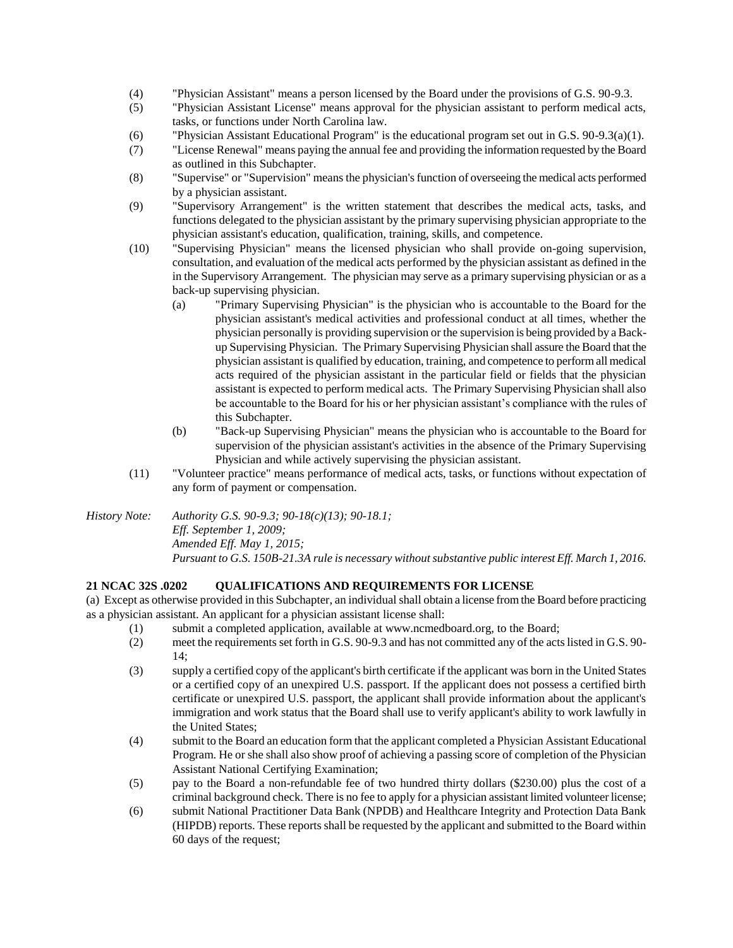- (4) "Physician Assistant" means a person licensed by the Board under the provisions of G.S. 90-9.3.
- (5) "Physician Assistant License" means approval for the physician assistant to perform medical acts, tasks, or functions under North Carolina law.
- (6) "Physician Assistant Educational Program" is the educational program set out in G.S. 90-9.3(a)(1).
- (7) "License Renewal" means paying the annual fee and providing the information requested by the Board as outlined in this Subchapter.
- (8) "Supervise" or "Supervision" means the physician's function of overseeing the medical acts performed by a physician assistant.
- (9) "Supervisory Arrangement" is the written statement that describes the medical acts, tasks, and functions delegated to the physician assistant by the primary supervising physician appropriate to the physician assistant's education, qualification, training, skills, and competence.
- (10) "Supervising Physician" means the licensed physician who shall provide on-going supervision, consultation, and evaluation of the medical acts performed by the physician assistant as defined in the in the Supervisory Arrangement. The physician may serve as a primary supervising physician or as a back-up supervising physician.
	- (a) "Primary Supervising Physician" is the physician who is accountable to the Board for the physician assistant's medical activities and professional conduct at all times, whether the physician personally is providing supervision or the supervision is being provided by a Backup Supervising Physician. The Primary Supervising Physician shall assure the Board that the physician assistant is qualified by education, training, and competence to perform all medical acts required of the physician assistant in the particular field or fields that the physician assistant is expected to perform medical acts. The Primary Supervising Physician shall also be accountable to the Board for his or her physician assistant's compliance with the rules of this Subchapter.
	- (b) "Back-up Supervising Physician" means the physician who is accountable to the Board for supervision of the physician assistant's activities in the absence of the Primary Supervising Physician and while actively supervising the physician assistant.
- (11) "Volunteer practice" means performance of medical acts, tasks, or functions without expectation of any form of payment or compensation.

*History Note: Authority G.S. 90-9.3; 90-18(c)(13); 90-18.1; Eff. September 1, 2009; Amended Eff. May 1, 2015; Pursuant to G.S. 150B-21.3A rule is necessary without substantive public interest Eff. March 1, 2016.*

### **21 NCAC 32S .0202 QUALIFICATIONS AND REQUIREMENTS FOR LICENSE**

(a) Except as otherwise provided in this Subchapter, an individual shall obtain a license from the Board before practicing as a physician assistant. An applicant for a physician assistant license shall:

- (1) submit a completed application, available at www.ncmedboard.org, to the Board;
- (2) meet the requirements set forth in G.S. 90-9.3 and has not committed any of the acts listed in G.S. 90- 14;
- (3) supply a certified copy of the applicant's birth certificate if the applicant was born in the United States or a certified copy of an unexpired U.S. passport. If the applicant does not possess a certified birth certificate or unexpired U.S. passport, the applicant shall provide information about the applicant's immigration and work status that the Board shall use to verify applicant's ability to work lawfully in the United States;
- (4) submit to the Board an education form that the applicant completed a Physician Assistant Educational Program. He or she shall also show proof of achieving a passing score of completion of the Physician Assistant National Certifying Examination;
- (5) pay to the Board a non-refundable fee of two hundred thirty dollars (\$230.00) plus the cost of a criminal background check. There is no fee to apply for a physician assistant limited volunteer license;
- (6) submit National Practitioner Data Bank (NPDB) and Healthcare Integrity and Protection Data Bank (HIPDB) reports. These reports shall be requested by the applicant and submitted to the Board within 60 days of the request;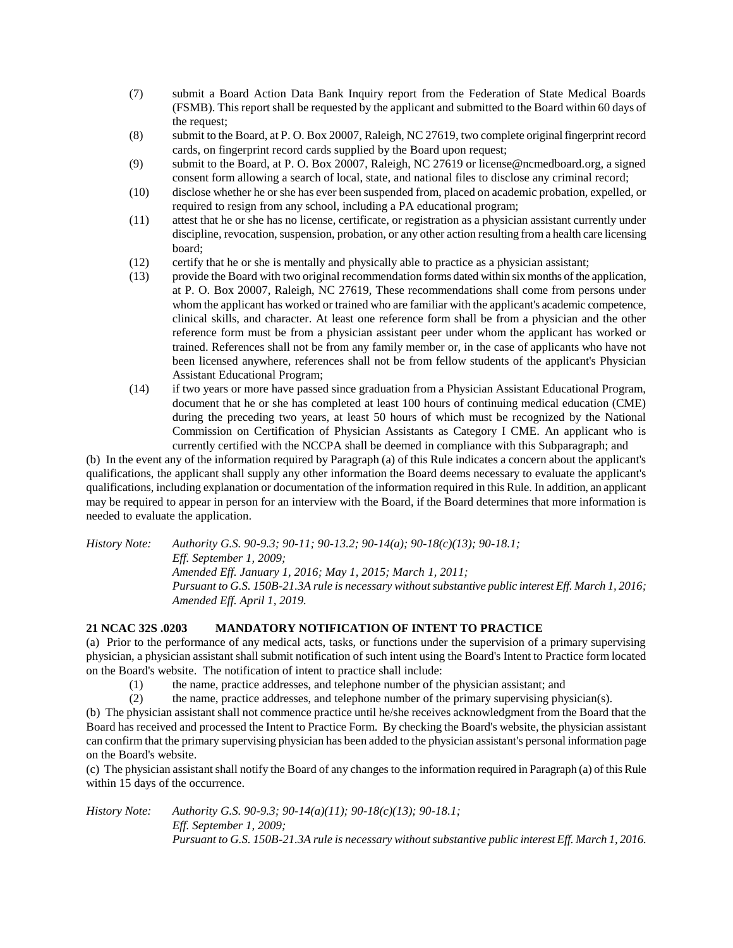- (7) submit a Board Action Data Bank Inquiry report from the Federation of State Medical Boards (FSMB). This report shall be requested by the applicant and submitted to the Board within 60 days of the request;
- (8) submit to the Board, at P. O. Box 20007, Raleigh, NC 27619, two complete original fingerprint record cards, on fingerprint record cards supplied by the Board upon request;
- (9) submit to the Board, at P. O. Box 20007, Raleigh, NC 27619 or license@ncmedboard.org, a signed consent form allowing a search of local, state, and national files to disclose any criminal record;
- (10) disclose whether he or she has ever been suspended from, placed on academic probation, expelled, or required to resign from any school, including a PA educational program;
- (11) attest that he or she has no license, certificate, or registration as a physician assistant currently under discipline, revocation, suspension, probation, or any other action resulting from a health care licensing board;
- (12) certify that he or she is mentally and physically able to practice as a physician assistant;
- (13) provide the Board with two original recommendation forms dated within six months of the application, at P. O. Box 20007, Raleigh, NC 27619, These recommendations shall come from persons under whom the applicant has worked or trained who are familiar with the applicant's academic competence, clinical skills, and character. At least one reference form shall be from a physician and the other reference form must be from a physician assistant peer under whom the applicant has worked or trained. References shall not be from any family member or, in the case of applicants who have not been licensed anywhere, references shall not be from fellow students of the applicant's Physician Assistant Educational Program;
- (14) if two years or more have passed since graduation from a Physician Assistant Educational Program, document that he or she has completed at least 100 hours of continuing medical education (CME) during the preceding two years, at least 50 hours of which must be recognized by the National Commission on Certification of Physician Assistants as Category I CME. An applicant who is currently certified with the NCCPA shall be deemed in compliance with this Subparagraph; and

(b) In the event any of the information required by Paragraph (a) of this Rule indicates a concern about the applicant's qualifications, the applicant shall supply any other information the Board deems necessary to evaluate the applicant's qualifications, including explanation or documentation of the information required in this Rule. In addition, an applicant may be required to appear in person for an interview with the Board, if the Board determines that more information is needed to evaluate the application.

*History Note: Authority G.S. 90-9.3; 90-11; 90-13.2; 90-14(a); 90-18(c)(13); 90-18.1; Eff. September 1, 2009; Amended Eff. January 1, 2016; May 1, 2015; March 1, 2011; Pursuant to G.S. 150B-21.3A rule is necessary without substantive public interest Eff. March 1, 2016; Amended Eff. April 1, 2019.*

### **21 NCAC 32S .0203 MANDATORY NOTIFICATION OF INTENT TO PRACTICE**

(a) Prior to the performance of any medical acts, tasks, or functions under the supervision of a primary supervising physician, a physician assistant shall submit notification of such intent using the Board's Intent to Practice form located on the Board's website. The notification of intent to practice shall include:

- (1) the name, practice addresses, and telephone number of the physician assistant; and
- (2) the name, practice addresses, and telephone number of the primary supervising physician(s).

(b) The physician assistant shall not commence practice until he/she receives acknowledgment from the Board that the Board has received and processed the Intent to Practice Form. By checking the Board's website, the physician assistant can confirm that the primary supervising physician has been added to the physician assistant's personal information page on the Board's website.

(c) The physician assistant shall notify the Board of any changes to the information required in Paragraph (a) of this Rule within 15 days of the occurrence.

*History Note: Authority G.S. 90-9.3; 90-14(a)(11); 90-18(c)(13); 90-18.1; Eff. September 1, 2009; Pursuant to G.S. 150B-21.3A rule is necessary without substantive public interest Eff. March 1, 2016.*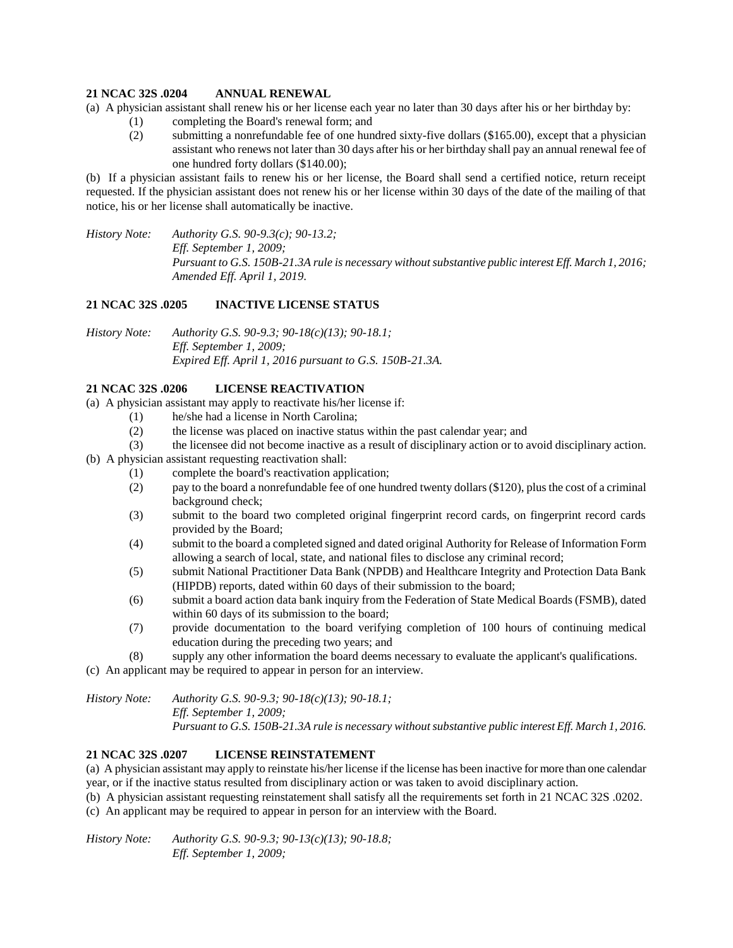### **21 NCAC 32S .0204 ANNUAL RENEWAL**

(a) A physician assistant shall renew his or her license each year no later than 30 days after his or her birthday by:

- (1) completing the Board's renewal form; and
- (2) submitting a nonrefundable fee of one hundred sixty-five dollars (\$165.00), except that a physician assistant who renews not later than 30 days after his or her birthday shall pay an annual renewal fee of one hundred forty dollars (\$140.00);

(b) If a physician assistant fails to renew his or her license, the Board shall send a certified notice, return receipt requested. If the physician assistant does not renew his or her license within 30 days of the date of the mailing of that notice, his or her license shall automatically be inactive.

*History Note: Authority G.S. 90-9.3(c); 90-13.2; Eff. September 1, 2009; Pursuant to G.S. 150B-21.3A rule is necessary without substantive public interest Eff. March 1, 2016; Amended Eff. April 1, 2019.*

### **21 NCAC 32S .0205 INACTIVE LICENSE STATUS**

*History Note: Authority G.S. 90-9.3; 90-18(c)(13); 90-18.1; Eff. September 1, 2009; Expired Eff. April 1, 2016 pursuant to G.S. 150B-21.3A.*

### **21 NCAC 32S .0206 LICENSE REACTIVATION**

(a) A physician assistant may apply to reactivate his/her license if:

- (1) he/she had a license in North Carolina;
- (2) the license was placed on inactive status within the past calendar year; and
- (3) the licensee did not become inactive as a result of disciplinary action or to avoid disciplinary action.
- (b) A physician assistant requesting reactivation shall:
	- (1) complete the board's reactivation application;
	- (2) pay to the board a nonrefundable fee of one hundred twenty dollars (\$120), plus the cost of a criminal background check;
	- (3) submit to the board two completed original fingerprint record cards, on fingerprint record cards provided by the Board;
	- (4) submit to the board a completed signed and dated original Authority for Release of Information Form allowing a search of local, state, and national files to disclose any criminal record;
	- (5) submit National Practitioner Data Bank (NPDB) and Healthcare Integrity and Protection Data Bank (HIPDB) reports, dated within 60 days of their submission to the board;
	- (6) submit a board action data bank inquiry from the Federation of State Medical Boards (FSMB), dated within 60 days of its submission to the board;
	- (7) provide documentation to the board verifying completion of 100 hours of continuing medical education during the preceding two years; and
	- (8) supply any other information the board deems necessary to evaluate the applicant's qualifications.

(c) An applicant may be required to appear in person for an interview.

*History Note: Authority G.S. 90-9.3; 90-18(c)(13); 90-18.1; Eff. September 1, 2009; Pursuant to G.S. 150B-21.3A rule is necessary without substantive public interest Eff. March 1, 2016.*

### **21 NCAC 32S .0207 LICENSE REINSTATEMENT**

(a) A physician assistant may apply to reinstate his/her license if the license has been inactive for more than one calendar year, or if the inactive status resulted from disciplinary action or was taken to avoid disciplinary action.

(b) A physician assistant requesting reinstatement shall satisfy all the requirements set forth in 21 NCAC 32S .0202.

(c) An applicant may be required to appear in person for an interview with the Board.

*History Note: Authority G.S. 90-9.3; 90-13(c)(13); 90-18.8; Eff. September 1, 2009;*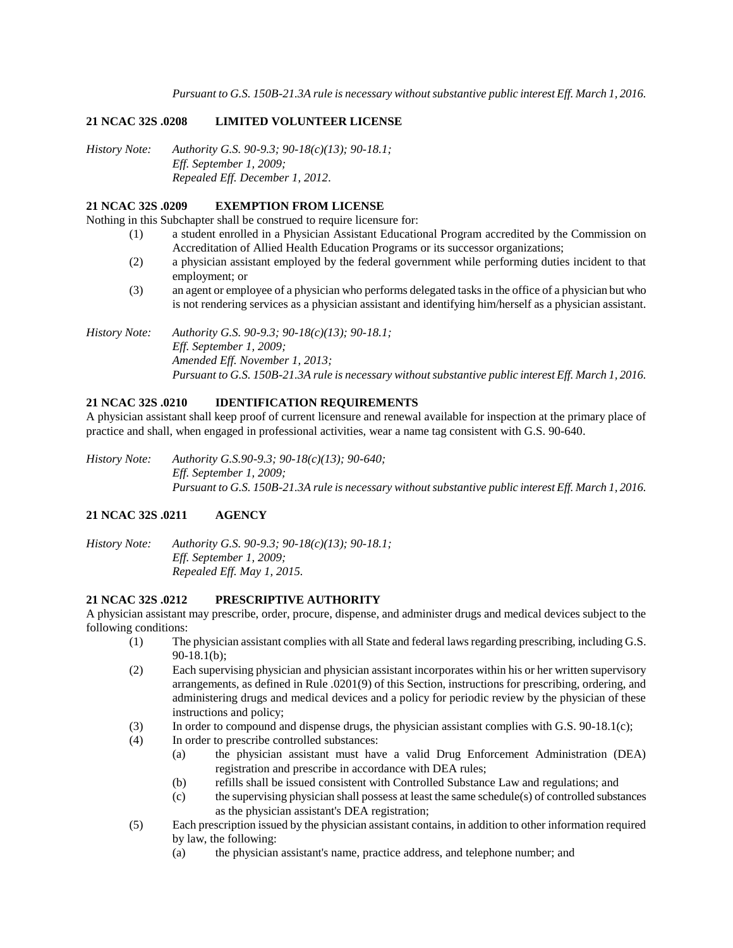*Pursuant to G.S. 150B-21.3A rule is necessary without substantive public interest Eff. March 1, 2016.*

### **21 NCAC 32S .0208 LIMITED VOLUNTEER LICENSE**

*History Note: Authority G.S. 90-9.3; 90-18(c)(13); 90-18.1; Eff. September 1, 2009; Repealed Eff. December 1, 2012.*

### **21 NCAC 32S .0209 EXEMPTION FROM LICENSE**

Nothing in this Subchapter shall be construed to require licensure for:

- (1) a student enrolled in a Physician Assistant Educational Program accredited by the Commission on Accreditation of Allied Health Education Programs or its successor organizations;
- (2) a physician assistant employed by the federal government while performing duties incident to that employment; or
- (3) an agent or employee of a physician who performs delegated tasks in the office of a physician but who is not rendering services as a physician assistant and identifying him/herself as a physician assistant.

*History Note: Authority G.S. 90-9.3; 90-18(c)(13); 90-18.1; Eff. September 1, 2009; Amended Eff. November 1, 2013; Pursuant to G.S. 150B-21.3A rule is necessary without substantive public interest Eff. March 1, 2016.*

# **21 NCAC 32S .0210 IDENTIFICATION REQUIREMENTS**

A physician assistant shall keep proof of current licensure and renewal available for inspection at the primary place of practice and shall, when engaged in professional activities, wear a name tag consistent with G.S. 90-640.

*History Note: Authority G.S.90-9.3; 90-18(c)(13); 90-640; Eff. September 1, 2009; Pursuant to G.S. 150B-21.3A rule is necessary without substantive public interest Eff. March 1, 2016.*

### **21 NCAC 32S .0211 AGENCY**

*History Note: Authority G.S. 90-9.3; 90-18(c)(13); 90-18.1; Eff. September 1, 2009; Repealed Eff. May 1, 2015.*

#### **21 NCAC 32S .0212 PRESCRIPTIVE AUTHORITY**

A physician assistant may prescribe, order, procure, dispense, and administer drugs and medical devices subject to the following conditions:

- (1) The physician assistant complies with all State and federal laws regarding prescribing, including G.S. 90-18.1(b);
- (2) Each supervising physician and physician assistant incorporates within his or her written supervisory arrangements, as defined in Rule .0201(9) of this Section, instructions for prescribing, ordering, and administering drugs and medical devices and a policy for periodic review by the physician of these instructions and policy;
- (3) In order to compound and dispense drugs, the physician assistant complies with G.S. 90-18.1(c);
- (4) In order to prescribe controlled substances:
	- (a) the physician assistant must have a valid Drug Enforcement Administration (DEA) registration and prescribe in accordance with DEA rules;
	- (b) refills shall be issued consistent with Controlled Substance Law and regulations; and
	- (c) the supervising physician shall possess at least the same schedule(s) of controlled substances as the physician assistant's DEA registration;
- (5) Each prescription issued by the physician assistant contains, in addition to other information required by law, the following:
	- (a) the physician assistant's name, practice address, and telephone number; and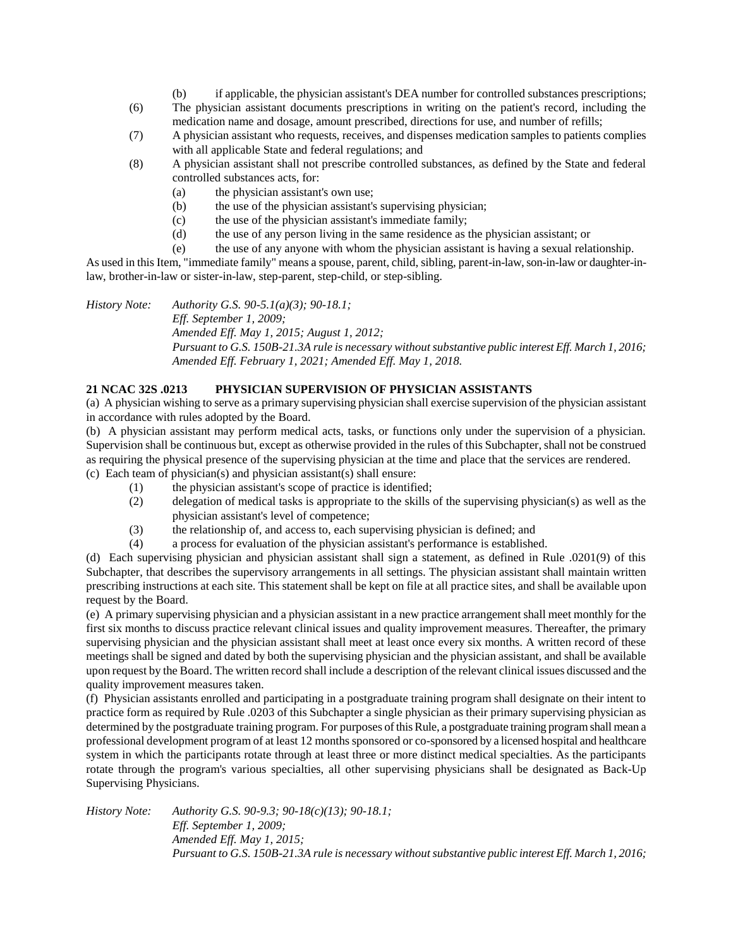- (b) if applicable, the physician assistant's DEA number for controlled substances prescriptions;
- (6) The physician assistant documents prescriptions in writing on the patient's record, including the medication name and dosage, amount prescribed, directions for use, and number of refills;
- (7) A physician assistant who requests, receives, and dispenses medication samples to patients complies with all applicable State and federal regulations; and
- (8) A physician assistant shall not prescribe controlled substances, as defined by the State and federal controlled substances acts, for:
	- (a) the physician assistant's own use;
	- (b) the use of the physician assistant's supervising physician;
	- (c) the use of the physician assistant's immediate family;
	- (d) the use of any person living in the same residence as the physician assistant; or
	- (e) the use of any anyone with whom the physician assistant is having a sexual relationship.

As used in this Item, "immediate family" means a spouse, parent, child, sibling, parent-in-law, son-in-law or daughter-inlaw, brother-in-law or sister-in-law, step-parent, step-child, or step-sibling.

*History Note: Authority G.S. 90-5.1(a)(3); 90-18.1; Eff. September 1, 2009; Amended Eff. May 1, 2015; August 1, 2012; Pursuant to G.S. 150B-21.3A rule is necessary without substantive public interest Eff. March 1, 2016; Amended Eff. February 1, 2021; Amended Eff. May 1, 2018.*

### **21 NCAC 32S .0213 PHYSICIAN SUPERVISION OF PHYSICIAN ASSISTANTS**

(a) A physician wishing to serve as a primary supervising physician shall exercise supervision of the physician assistant in accordance with rules adopted by the Board.

(b) A physician assistant may perform medical acts, tasks, or functions only under the supervision of a physician. Supervision shall be continuous but, except as otherwise provided in the rules of this Subchapter, shall not be construed as requiring the physical presence of the supervising physician at the time and place that the services are rendered. (c) Each team of physician(s) and physician assistant(s) shall ensure:

- (1) the physician assistant's scope of practice is identified;
	- (2) delegation of medical tasks is appropriate to the skills of the supervising physician(s) as well as the physician assistant's level of competence;
	- (3) the relationship of, and access to, each supervising physician is defined; and
	- (4) a process for evaluation of the physician assistant's performance is established.

(d) Each supervising physician and physician assistant shall sign a statement, as defined in Rule .0201(9) of this Subchapter, that describes the supervisory arrangements in all settings. The physician assistant shall maintain written prescribing instructions at each site. This statement shall be kept on file at all practice sites, and shall be available upon request by the Board.

(e) A primary supervising physician and a physician assistant in a new practice arrangement shall meet monthly for the first six months to discuss practice relevant clinical issues and quality improvement measures. Thereafter, the primary supervising physician and the physician assistant shall meet at least once every six months. A written record of these meetings shall be signed and dated by both the supervising physician and the physician assistant, and shall be available upon request by the Board. The written record shall include a description of the relevant clinical issues discussed and the quality improvement measures taken.

(f) Physician assistants enrolled and participating in a postgraduate training program shall designate on their intent to practice form as required by Rule .0203 of this Subchapter a single physician as their primary supervising physician as determined by the postgraduate training program. For purposes of this Rule, a postgraduate training program shall mean a professional development program of at least 12 months sponsored or co-sponsored by a licensed hospital and healthcare system in which the participants rotate through at least three or more distinct medical specialties. As the participants rotate through the program's various specialties, all other supervising physicians shall be designated as Back-Up Supervising Physicians.

*History Note: Authority G.S. 90-9.3; 90-18(c)(13); 90-18.1; Eff. September 1, 2009; Amended Eff. May 1, 2015; Pursuant to G.S. 150B-21.3A rule is necessary without substantive public interest Eff. March 1, 2016;*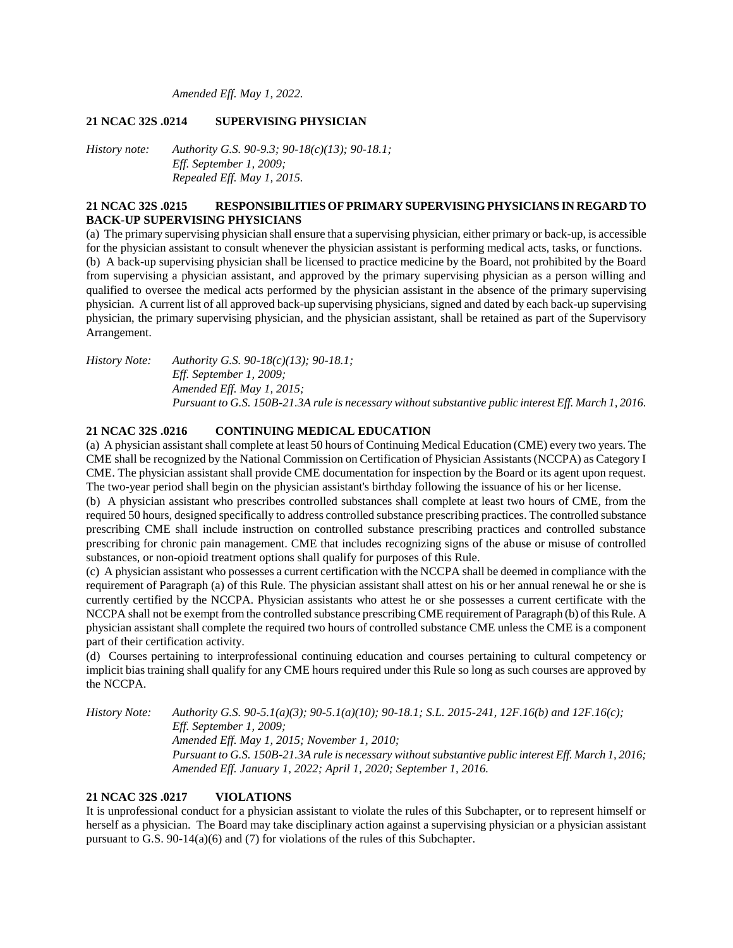*Amended Eff. May 1, 2022.*

### **21 NCAC 32S .0214 SUPERVISING PHYSICIAN**

*History note: Authority G.S. 90-9.3; 90-18(c)(13); 90-18.1; Eff. September 1, 2009; Repealed Eff. May 1, 2015.*

### **21 NCAC 32S .0215 RESPONSIBILITIES OF PRIMARY SUPERVISING PHYSICIANS IN REGARD TO BACK-UP SUPERVISING PHYSICIANS**

(a) The primary supervising physician shall ensure that a supervising physician, either primary or back-up, is accessible for the physician assistant to consult whenever the physician assistant is performing medical acts, tasks, or functions. (b) A back-up supervising physician shall be licensed to practice medicine by the Board, not prohibited by the Board from supervising a physician assistant, and approved by the primary supervising physician as a person willing and qualified to oversee the medical acts performed by the physician assistant in the absence of the primary supervising physician. A current list of all approved back-up supervising physicians, signed and dated by each back-up supervising physician, the primary supervising physician, and the physician assistant, shall be retained as part of the Supervisory Arrangement.

*History Note: Authority G.S. 90-18(c)(13); 90-18.1; Eff. September 1, 2009; Amended Eff. May 1, 2015; Pursuant to G.S. 150B-21.3A rule is necessary without substantive public interest Eff. March 1, 2016.*

### **21 NCAC 32S .0216 CONTINUING MEDICAL EDUCATION**

(a) A physician assistant shall complete at least 50 hours of Continuing Medical Education (CME) every two years. The CME shall be recognized by the National Commission on Certification of Physician Assistants (NCCPA) as Category I CME. The physician assistant shall provide CME documentation for inspection by the Board or its agent upon request. The two-year period shall begin on the physician assistant's birthday following the issuance of his or her license.

(b) A physician assistant who prescribes controlled substances shall complete at least two hours of CME, from the required 50 hours, designed specifically to address controlled substance prescribing practices. The controlled substance prescribing CME shall include instruction on controlled substance prescribing practices and controlled substance prescribing for chronic pain management. CME that includes recognizing signs of the abuse or misuse of controlled substances, or non-opioid treatment options shall qualify for purposes of this Rule.

(c) A physician assistant who possesses a current certification with the NCCPA shall be deemed in compliance with the requirement of Paragraph (a) of this Rule. The physician assistant shall attest on his or her annual renewal he or she is currently certified by the NCCPA. Physician assistants who attest he or she possesses a current certificate with the NCCPA shall not be exempt from the controlled substance prescribing CME requirement of Paragraph (b) of this Rule. A physician assistant shall complete the required two hours of controlled substance CME unless the CME is a component part of their certification activity.

(d) Courses pertaining to interprofessional continuing education and courses pertaining to cultural competency or implicit bias training shall qualify for any CME hours required under this Rule so long as such courses are approved by the NCCPA.

*History Note: Authority G.S. 90-5.1(a)(3); 90-5.1(a)(10); 90-18.1; S.L. 2015-241, 12F.16(b) and 12F.16(c); Eff. September 1, 2009; Amended Eff. May 1, 2015; November 1, 2010; Pursuant to G.S. 150B-21.3A rule is necessary without substantive public interest Eff. March 1, 2016; Amended Eff. January 1, 2022; April 1, 2020; September 1, 2016.*

### **21 NCAC 32S .0217 VIOLATIONS**

It is unprofessional conduct for a physician assistant to violate the rules of this Subchapter, or to represent himself or herself as a physician. The Board may take disciplinary action against a supervising physician or a physician assistant pursuant to G.S. 90-14(a)(6) and (7) for violations of the rules of this Subchapter.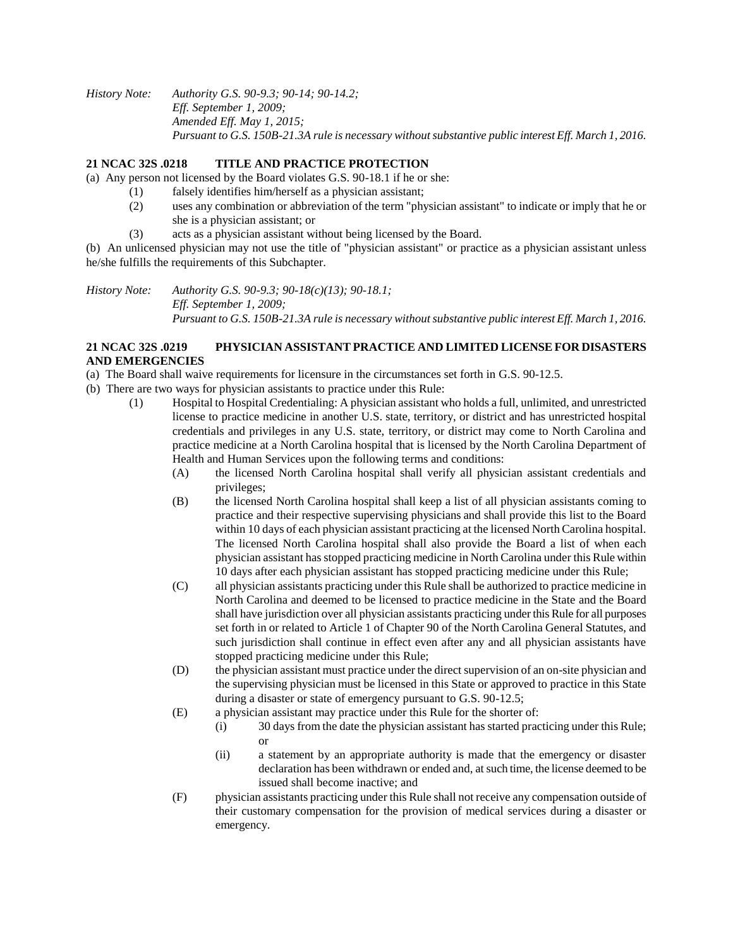*History Note: Authority G.S. 90-9.3; 90-14; 90-14.2; Eff. September 1, 2009; Amended Eff. May 1, 2015; Pursuant to G.S. 150B-21.3A rule is necessary without substantive public interest Eff. March 1, 2016.*

# **21 NCAC 32S .0218 TITLE AND PRACTICE PROTECTION**

(a) Any person not licensed by the Board violates G.S. 90-18.1 if he or she:

- (1) falsely identifies him/herself as a physician assistant;
- (2) uses any combination or abbreviation of the term "physician assistant" to indicate or imply that he or she is a physician assistant; or
- (3) acts as a physician assistant without being licensed by the Board.

(b) An unlicensed physician may not use the title of "physician assistant" or practice as a physician assistant unless he/she fulfills the requirements of this Subchapter.

*History Note: Authority G.S. 90-9.3; 90-18(c)(13); 90-18.1; Eff. September 1, 2009; Pursuant to G.S. 150B-21.3A rule is necessary without substantive public interest Eff. March 1, 2016.*

# **21 NCAC 32S .0219 PHYSICIAN ASSISTANT PRACTICE AND LIMITED LICENSE FOR DISASTERS AND EMERGENCIES**

- (a) The Board shall waive requirements for licensure in the circumstances set forth in G.S. 90-12.5.
- (b) There are two ways for physician assistants to practice under this Rule:
	- (1) Hospital to Hospital Credentialing: A physician assistant who holds a full, unlimited, and unrestricted license to practice medicine in another U.S. state, territory, or district and has unrestricted hospital credentials and privileges in any U.S. state, territory, or district may come to North Carolina and practice medicine at a North Carolina hospital that is licensed by the North Carolina Department of Health and Human Services upon the following terms and conditions:
		- (A) the licensed North Carolina hospital shall verify all physician assistant credentials and privileges;
		- (B) the licensed North Carolina hospital shall keep a list of all physician assistants coming to practice and their respective supervising physicians and shall provide this list to the Board within 10 days of each physician assistant practicing at the licensed North Carolina hospital. The licensed North Carolina hospital shall also provide the Board a list of when each physician assistant has stopped practicing medicine in North Carolina under this Rule within 10 days after each physician assistant has stopped practicing medicine under this Rule;
		- (C) all physician assistants practicing under this Rule shall be authorized to practice medicine in North Carolina and deemed to be licensed to practice medicine in the State and the Board shall have jurisdiction over all physician assistants practicing under this Rule for all purposes set forth in or related to Article 1 of Chapter 90 of the North Carolina General Statutes, and such jurisdiction shall continue in effect even after any and all physician assistants have stopped practicing medicine under this Rule;
		- (D) the physician assistant must practice under the direct supervision of an on-site physician and the supervising physician must be licensed in this State or approved to practice in this State during a disaster or state of emergency pursuant to G.S. 90-12.5;
		- (E) a physician assistant may practice under this Rule for the shorter of:
			- (i) 30 days from the date the physician assistant has started practicing under this Rule; or
			- (ii) a statement by an appropriate authority is made that the emergency or disaster declaration has been withdrawn or ended and, at such time, the license deemed to be issued shall become inactive; and
		- (F) physician assistants practicing under this Rule shall not receive any compensation outside of their customary compensation for the provision of medical services during a disaster or emergency.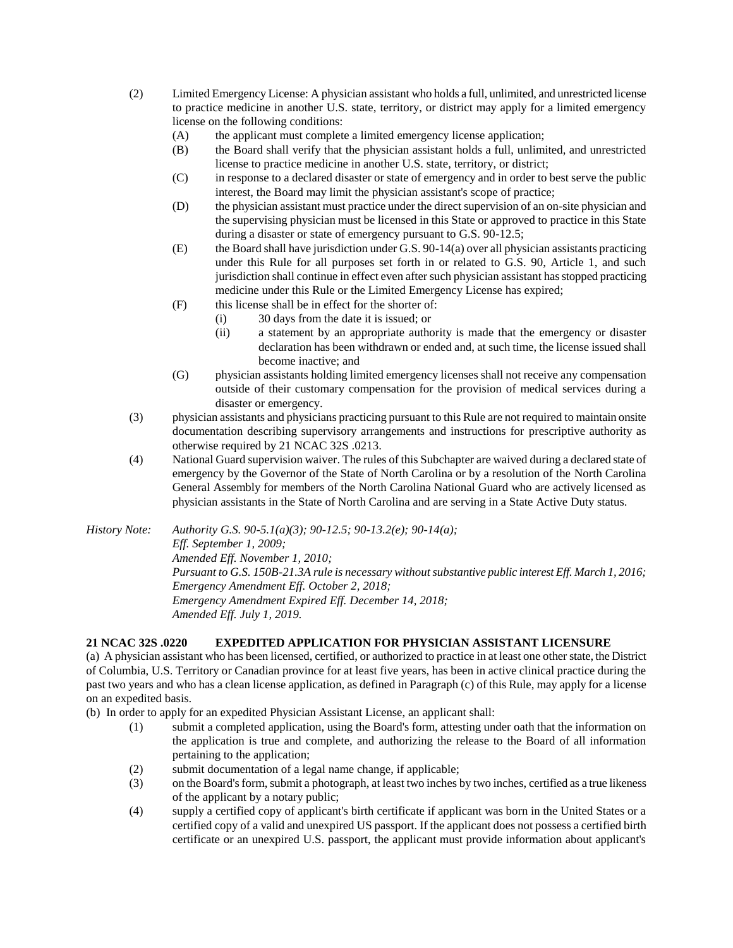- (2) Limited Emergency License: A physician assistant who holds a full, unlimited, and unrestricted license to practice medicine in another U.S. state, territory, or district may apply for a limited emergency license on the following conditions:
	- (A) the applicant must complete a limited emergency license application;
	- (B) the Board shall verify that the physician assistant holds a full, unlimited, and unrestricted license to practice medicine in another U.S. state, territory, or district;
	- (C) in response to a declared disaster or state of emergency and in order to best serve the public interest, the Board may limit the physician assistant's scope of practice;
	- (D) the physician assistant must practice under the direct supervision of an on-site physician and the supervising physician must be licensed in this State or approved to practice in this State during a disaster or state of emergency pursuant to G.S. 90-12.5;
	- (E) the Board shall have jurisdiction under G.S. 90-14(a) over all physician assistants practicing under this Rule for all purposes set forth in or related to G.S. 90, Article 1, and such jurisdiction shall continue in effect even after such physician assistant has stopped practicing medicine under this Rule or the Limited Emergency License has expired;
	- (F) this license shall be in effect for the shorter of:
		- (i) 30 days from the date it is issued; or
		- (ii) a statement by an appropriate authority is made that the emergency or disaster declaration has been withdrawn or ended and, at such time, the license issued shall become inactive; and
	- (G) physician assistants holding limited emergency licenses shall not receive any compensation outside of their customary compensation for the provision of medical services during a disaster or emergency.
- (3) physician assistants and physicians practicing pursuant to this Rule are not required to maintain onsite documentation describing supervisory arrangements and instructions for prescriptive authority as otherwise required by 21 NCAC 32S .0213.
- (4) National Guard supervision waiver. The rules of this Subchapter are waived during a declared state of emergency by the Governor of the State of North Carolina or by a resolution of the North Carolina General Assembly for members of the North Carolina National Guard who are actively licensed as physician assistants in the State of North Carolina and are serving in a State Active Duty status.
- *History Note: Authority G.S. 90-5.1(a)(3); 90-12.5; 90-13.2(e); 90-14(a); Eff. September 1, 2009; Amended Eff. November 1, 2010; Pursuant to G.S. 150B-21.3A rule is necessary without substantive public interest Eff. March 1, 2016; Emergency Amendment Eff. October 2, 2018; Emergency Amendment Expired Eff. December 14, 2018; Amended Eff. July 1, 2019.*

### **21 NCAC 32S .0220 EXPEDITED APPLICATION FOR PHYSICIAN ASSISTANT LICENSURE**

(a) A physician assistant who has been licensed, certified, or authorized to practice in at least one other state, the District of Columbia, U.S. Territory or Canadian province for at least five years, has been in active clinical practice during the past two years and who has a clean license application, as defined in Paragraph (c) of this Rule, may apply for a license on an expedited basis.

(b) In order to apply for an expedited Physician Assistant License, an applicant shall:

- (1) submit a completed application, using the Board's form, attesting under oath that the information on the application is true and complete, and authorizing the release to the Board of all information pertaining to the application;
- (2) submit documentation of a legal name change, if applicable;
- (3) on the Board's form, submit a photograph, at least two inches by two inches, certified as a true likeness of the applicant by a notary public;
- (4) supply a certified copy of applicant's birth certificate if applicant was born in the United States or a certified copy of a valid and unexpired US passport. If the applicant does not possess a certified birth certificate or an unexpired U.S. passport, the applicant must provide information about applicant's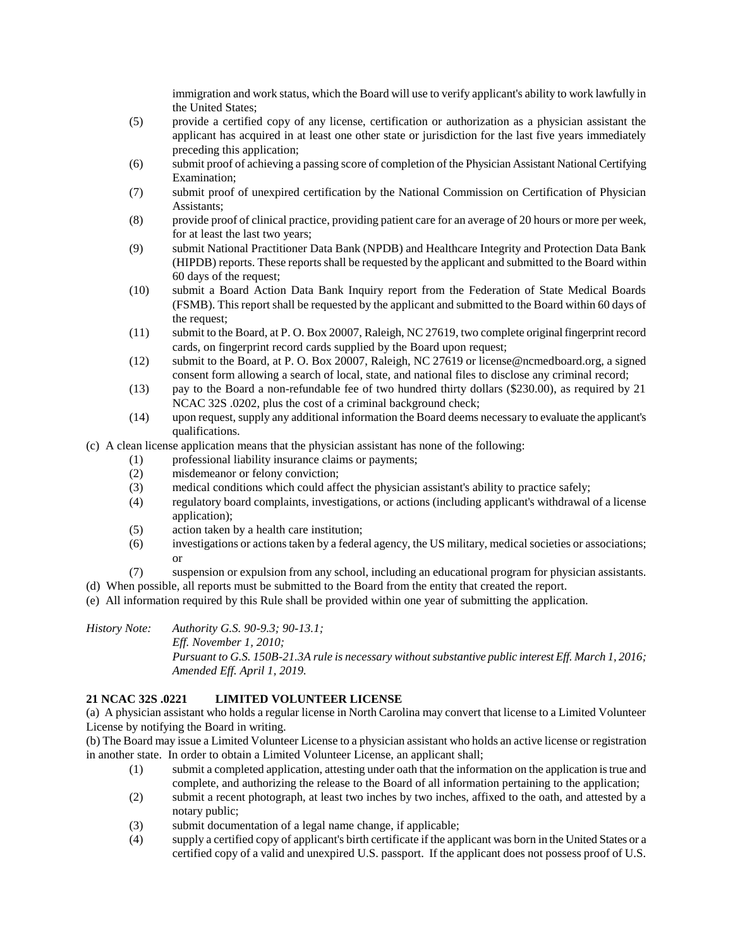immigration and work status, which the Board will use to verify applicant's ability to work lawfully in the United States;

- (5) provide a certified copy of any license, certification or authorization as a physician assistant the applicant has acquired in at least one other state or jurisdiction for the last five years immediately preceding this application;
- (6) submit proof of achieving a passing score of completion of the Physician Assistant National Certifying Examination;
- (7) submit proof of unexpired certification by the National Commission on Certification of Physician Assistants;
- (8) provide proof of clinical practice, providing patient care for an average of 20 hours or more per week, for at least the last two years;
- (9) submit National Practitioner Data Bank (NPDB) and Healthcare Integrity and Protection Data Bank (HIPDB) reports. These reports shall be requested by the applicant and submitted to the Board within 60 days of the request;
- (10) submit a Board Action Data Bank Inquiry report from the Federation of State Medical Boards (FSMB). This report shall be requested by the applicant and submitted to the Board within 60 days of the request;
- (11) submit to the Board, at P. O. Box 20007, Raleigh, NC 27619, two complete original fingerprint record cards, on fingerprint record cards supplied by the Board upon request;
- (12) submit to the Board, at P. O. Box 20007, Raleigh, NC 27619 or license@ncmedboard.org, a signed consent form allowing a search of local, state, and national files to disclose any criminal record;
- (13) pay to the Board a non-refundable fee of two hundred thirty dollars (\$230.00), as required by 21 NCAC 32S .0202, plus the cost of a criminal background check;
- (14) upon request, supply any additional information the Board deems necessary to evaluate the applicant's qualifications.
- (c) A clean license application means that the physician assistant has none of the following:
	- (1) professional liability insurance claims or payments;
	- (2) misdemeanor or felony conviction;
	- (3) medical conditions which could affect the physician assistant's ability to practice safely;
	- (4) regulatory board complaints, investigations, or actions (including applicant's withdrawal of a license application);
	- (5) action taken by a health care institution;
	- (6) investigations or actions taken by a federal agency, the US military, medical societies or associations; or
	- (7) suspension or expulsion from any school, including an educational program for physician assistants.
- (d) When possible, all reports must be submitted to the Board from the entity that created the report.
- (e) All information required by this Rule shall be provided within one year of submitting the application.

*History Note: Authority G.S. 90-9.3; 90-13.1; Eff. November 1, 2010; Pursuant to G.S. 150B-21.3A rule is necessary without substantive public interest Eff. March 1, 2016; Amended Eff. April 1, 2019.*

# **21 NCAC 32S .0221 LIMITED VOLUNTEER LICENSE**

(a) A physician assistant who holds a regular license in North Carolina may convert that license to a Limited Volunteer License by notifying the Board in writing.

(b) The Board may issue a Limited Volunteer License to a physician assistant who holds an active license or registration in another state. In order to obtain a Limited Volunteer License, an applicant shall;

- (1) submit a completed application, attesting under oath that the information on the application is true and complete, and authorizing the release to the Board of all information pertaining to the application;
- (2) submit a recent photograph, at least two inches by two inches, affixed to the oath, and attested by a notary public;
- (3) submit documentation of a legal name change, if applicable;
- (4) supply a certified copy of applicant's birth certificate if the applicant was born in the United States or a certified copy of a valid and unexpired U.S. passport. If the applicant does not possess proof of U.S.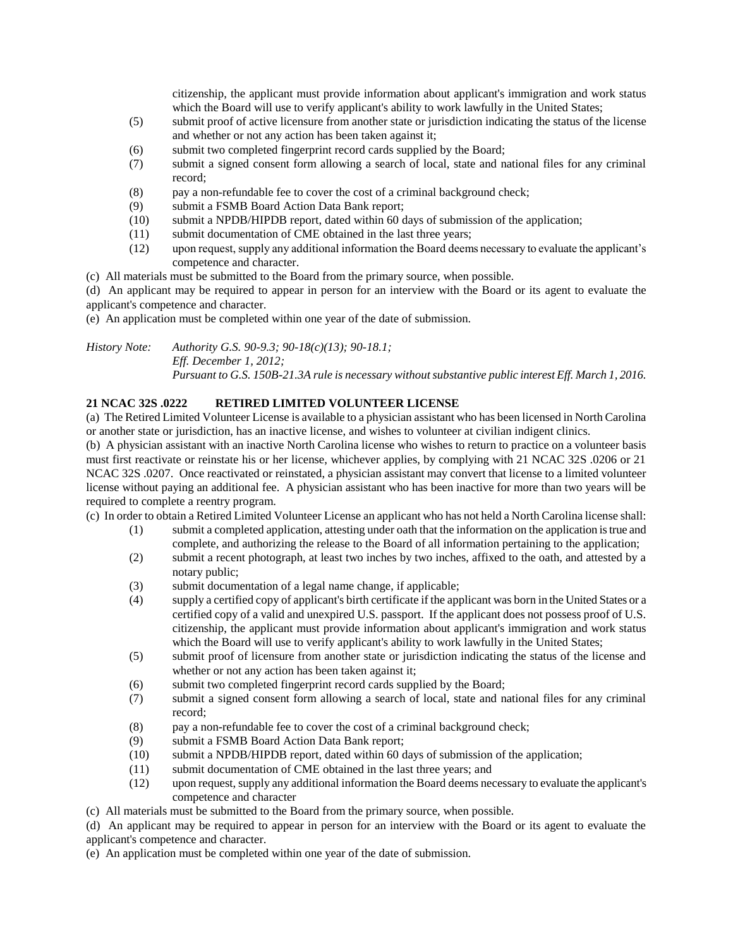citizenship, the applicant must provide information about applicant's immigration and work status which the Board will use to verify applicant's ability to work lawfully in the United States;

- (5) submit proof of active licensure from another state or jurisdiction indicating the status of the license and whether or not any action has been taken against it;
- (6) submit two completed fingerprint record cards supplied by the Board;
- (7) submit a signed consent form allowing a search of local, state and national files for any criminal record;
- (8) pay a non-refundable fee to cover the cost of a criminal background check;
- (9) submit a FSMB Board Action Data Bank report;
- (10) submit a NPDB/HIPDB report, dated within 60 days of submission of the application;
- (11) submit documentation of CME obtained in the last three years;
- (12) upon request, supply any additional information the Board deems necessary to evaluate the applicant's competence and character.
- (c) All materials must be submitted to the Board from the primary source, when possible.

(d) An applicant may be required to appear in person for an interview with the Board or its agent to evaluate the applicant's competence and character.

(e) An application must be completed within one year of the date of submission.

*History Note: Authority G.S. 90-9.3; 90-18(c)(13); 90-18.1; Eff. December 1, 2012; Pursuant to G.S. 150B-21.3A rule is necessary without substantive public interest Eff. March 1, 2016.*

# **21 NCAC 32S .0222 RETIRED LIMITED VOLUNTEER LICENSE**

(a) The Retired Limited Volunteer License is available to a physician assistant who has been licensed in North Carolina or another state or jurisdiction, has an inactive license, and wishes to volunteer at civilian indigent clinics.

(b) A physician assistant with an inactive North Carolina license who wishes to return to practice on a volunteer basis must first reactivate or reinstate his or her license, whichever applies, by complying with 21 NCAC 32S .0206 or 21 NCAC 32S .0207. Once reactivated or reinstated, a physician assistant may convert that license to a limited volunteer license without paying an additional fee. A physician assistant who has been inactive for more than two years will be required to complete a reentry program.

(c) In order to obtain a Retired Limited Volunteer License an applicant who has not held a North Carolina license shall:

- (1) submit a completed application, attesting under oath that the information on the application is true and complete, and authorizing the release to the Board of all information pertaining to the application;
- (2) submit a recent photograph, at least two inches by two inches, affixed to the oath, and attested by a notary public;
- (3) submit documentation of a legal name change, if applicable;
- (4) supply a certified copy of applicant's birth certificate if the applicant was born in the United States or a certified copy of a valid and unexpired U.S. passport. If the applicant does not possess proof of U.S. citizenship, the applicant must provide information about applicant's immigration and work status which the Board will use to verify applicant's ability to work lawfully in the United States;
- (5) submit proof of licensure from another state or jurisdiction indicating the status of the license and whether or not any action has been taken against it;
- (6) submit two completed fingerprint record cards supplied by the Board;
- (7) submit a signed consent form allowing a search of local, state and national files for any criminal record;
- (8) pay a non-refundable fee to cover the cost of a criminal background check;
- (9) submit a FSMB Board Action Data Bank report;
- (10) submit a NPDB/HIPDB report, dated within 60 days of submission of the application;
- (11) submit documentation of CME obtained in the last three years; and
- (12) upon request, supply any additional information the Board deems necessary to evaluate the applicant's competence and character
- (c) All materials must be submitted to the Board from the primary source, when possible.

(d) An applicant may be required to appear in person for an interview with the Board or its agent to evaluate the applicant's competence and character.

(e) An application must be completed within one year of the date of submission.